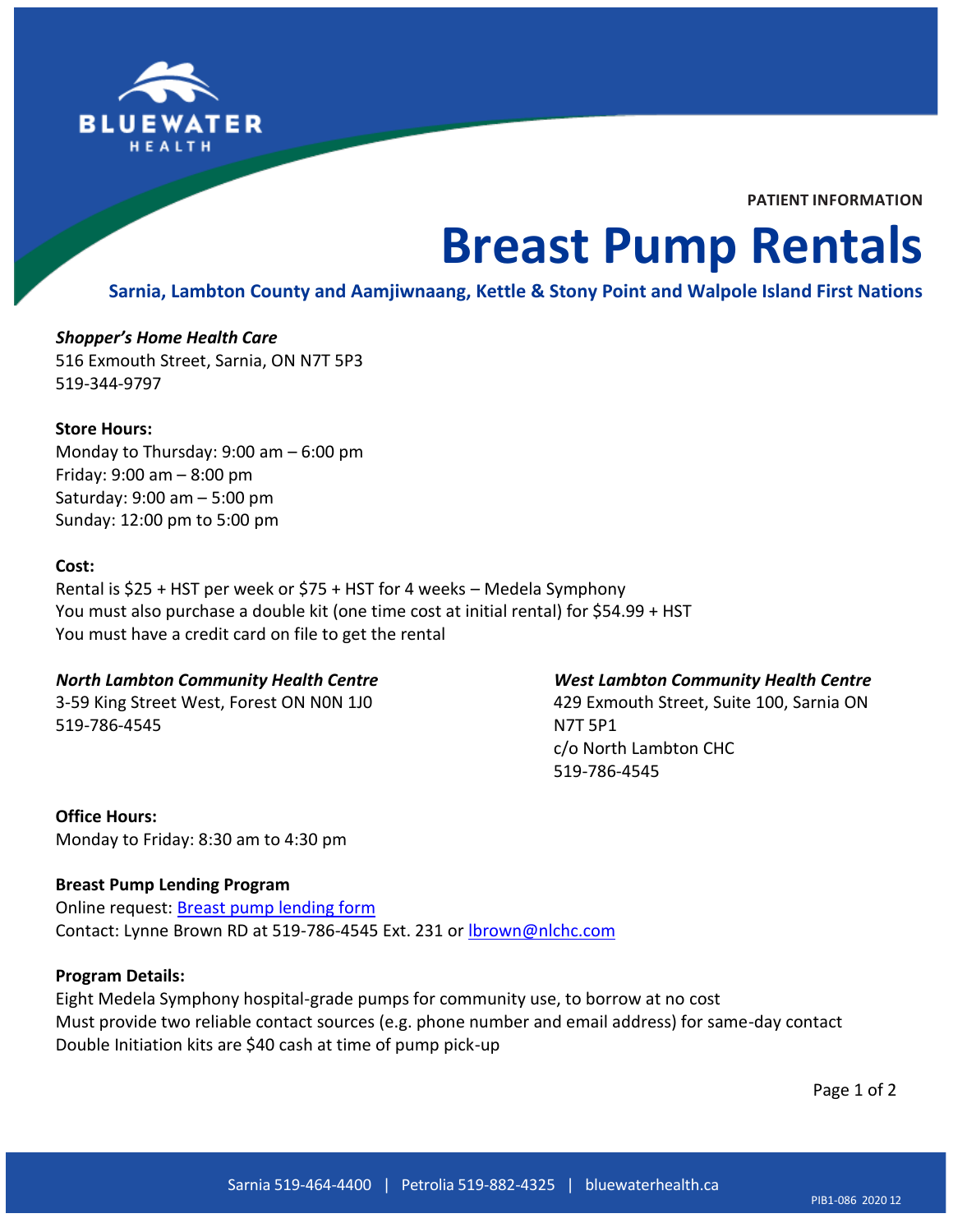

**PATIENT INFORMATION**

# **Breast Pump Rentals**

## **Sarnia, Lambton County and Aamjiwnaang, Kettle & Stony Point and Walpole Island First Nations**

## *Shopper's Home Health Care* 516 Exmouth Street, Sarnia, ON N7T 5P3 519-344-9797

#### **Store Hours:**

Monday to Thursday: 9:00 am – 6:00 pm Friday: 9:00 am – 8:00 pm Saturday: 9:00 am – 5:00 pm Sunday: 12:00 pm to 5:00 pm

#### **Cost:**

Rental is \$25 + HST per week or \$75 + HST for 4 weeks – Medela Symphony You must also purchase a double kit (one time cost at initial rental) for \$54.99 + HST You must have a credit card on file to get the rental

#### *North Lambton Community Health Centre*

3-59 King Street West, Forest ON N0N 1J0 519-786-4545

#### *West Lambton Community Health Centre*

429 Exmouth Street, Suite 100, Sarnia ON N7T 5P1 c/o North Lambton CHC 519-786-4545

**Office Hours:** Monday to Friday: 8:30 am to 4:30 pm

#### **Breast Pump Lending Program**

Online request: [Breast pump lending form](https://www.nlchc.com/breast-pump-lending-form/) Contact: Lynne Brown RD at 519-786-4545 Ext. 231 or **brown@nlchc.com** 

#### **Program Details:**

Eight Medela Symphony hospital-grade pumps for community use, to borrow at no cost Must provide two reliable contact sources (e.g. phone number and email address) for same-day contact Double Initiation kits are \$40 cash at time of pump pick-up

Page 1 of 2